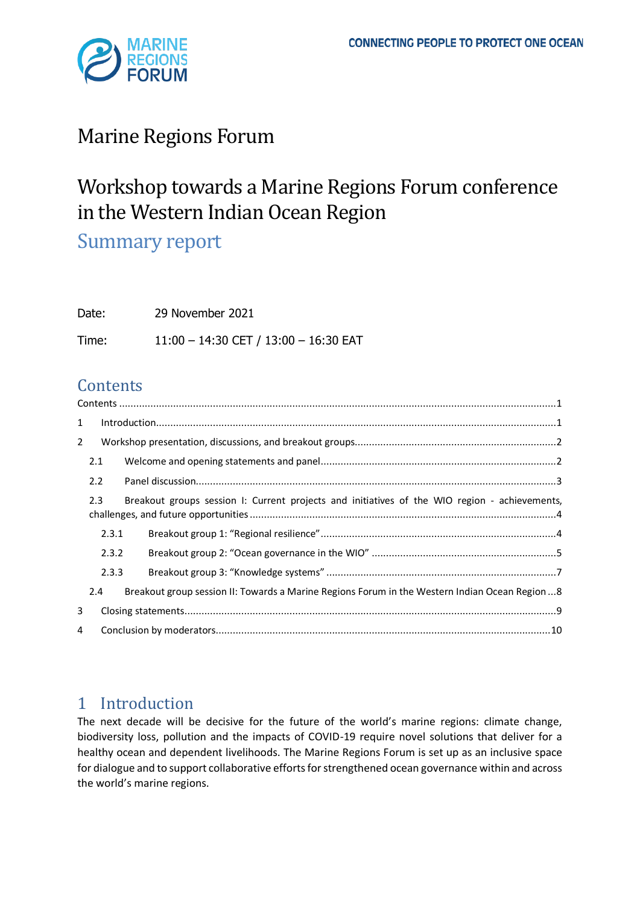

# Marine Regions Forum

# Workshop towards a Marine Regions Forum conference in the Western Indian Ocean Region

Summary report

| Date: | 29 November 2021                      |
|-------|---------------------------------------|
| Time: | 11:00 - 14:30 CET / 13:00 - 16:30 EAT |

# <span id="page-0-0"></span>**Contents**

| $\mathbf{1}$   |                                                                                                      |  |                                                                                                 |  |  |  |
|----------------|------------------------------------------------------------------------------------------------------|--|-------------------------------------------------------------------------------------------------|--|--|--|
| $\overline{2}$ |                                                                                                      |  |                                                                                                 |  |  |  |
| 2.1            |                                                                                                      |  |                                                                                                 |  |  |  |
| 2.2            |                                                                                                      |  |                                                                                                 |  |  |  |
|                | 2.3<br>Breakout groups session I: Current projects and initiatives of the WIO region - achievements, |  |                                                                                                 |  |  |  |
|                | 2.3.1                                                                                                |  |                                                                                                 |  |  |  |
|                | 2.3.2                                                                                                |  |                                                                                                 |  |  |  |
|                | 2.3.3                                                                                                |  |                                                                                                 |  |  |  |
|                | 2.4                                                                                                  |  | Breakout group session II: Towards a Marine Regions Forum in the Western Indian Ocean Region  8 |  |  |  |
| 3              |                                                                                                      |  |                                                                                                 |  |  |  |
| 4              |                                                                                                      |  |                                                                                                 |  |  |  |

# <span id="page-0-1"></span>1 Introduction

The next decade will be decisive for the future of the world's marine regions: climate change, biodiversity loss, pollution and the impacts of COVID-19 require novel solutions that deliver for a healthy ocean and dependent livelihoods. The Marine Regions Forum is set up as an inclusive space for dialogue and to support collaborative efforts for strengthened ocean governance within and across the world's marine regions.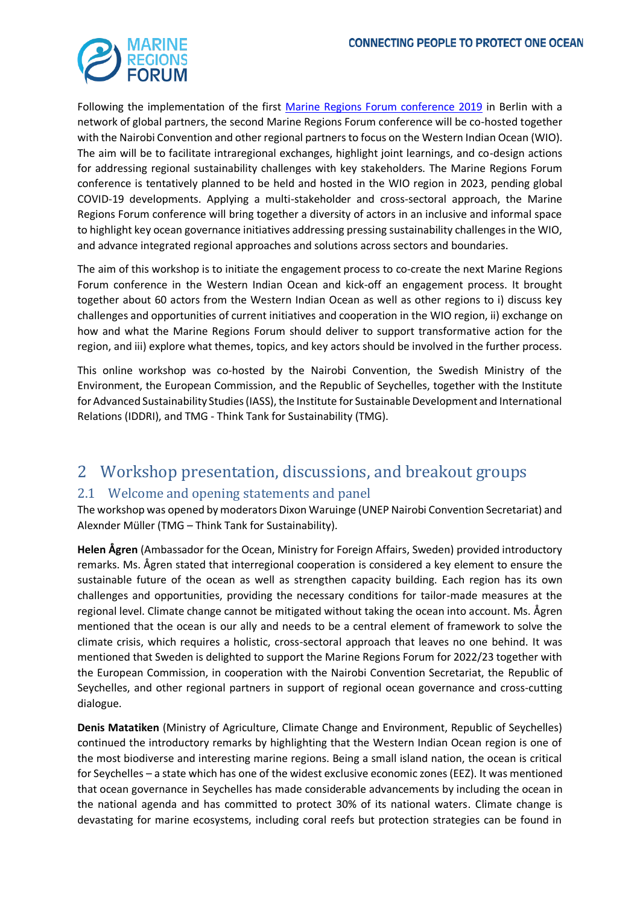

Following the implementation of the first [Marine Regions Forum conference 2019](https://www.prog-ocean.org/marine-regions-forum/) in Berlin with a network of global partners, the second Marine Regions Forum conference will be co-hosted together with the Nairobi Convention and other regional partners to focus on the Western Indian Ocean (WIO). The aim will be to facilitate intraregional exchanges, highlight joint learnings, and co-design actions for addressing regional sustainability challenges with key stakeholders. The Marine Regions Forum conference is tentatively planned to be held and hosted in the WIO region in 2023, pending global COVID-19 developments. Applying a multi-stakeholder and cross-sectoral approach, the Marine Regions Forum conference will bring together a diversity of actors in an inclusive and informal space to highlight key ocean governance initiatives addressing pressing sustainability challenges in the WIO, and advance integrated regional approaches and solutions across sectors and boundaries.

The aim of this workshop is to initiate the engagement process to co-create the next Marine Regions Forum conference in the Western Indian Ocean and kick-off an engagement process. It brought together about 60 actors from the Western Indian Ocean as well as other regions to i) discuss key challenges and opportunities of current initiatives and cooperation in the WIO region, ii) exchange on how and what the Marine Regions Forum should deliver to support transformative action for the region, and iii) explore what themes, topics, and key actors should be involved in the further process.

This online workshop was co-hosted by the Nairobi Convention, the Swedish Ministry of the Environment, the European Commission, and the Republic of Seychelles, together with the Institute for Advanced Sustainability Studies (IASS), the Institute for Sustainable Development and International Relations (IDDRI), and TMG - Think Tank for Sustainability (TMG).

# <span id="page-1-0"></span>2 Workshop presentation, discussions, and breakout groups

### <span id="page-1-1"></span>2.1 Welcome and opening statements and panel

The workshop was opened by moderators Dixon Waruinge (UNEP Nairobi Convention Secretariat) and Alexnder Müller (TMG – Think Tank for Sustainability).

**Helen Ågren** (Ambassador for the Ocean, Ministry for Foreign Affairs, Sweden) provided introductory remarks. Ms. Ågren stated that interregional cooperation is considered a key element to ensure the sustainable future of the ocean as well as strengthen capacity building. Each region has its own challenges and opportunities, providing the necessary conditions for tailor-made measures at the regional level. Climate change cannot be mitigated without taking the ocean into account. Ms. Ågren mentioned that the ocean is our ally and needs to be a central element of framework to solve the climate crisis, which requires a holistic, cross-sectoral approach that leaves no one behind. It was mentioned that Sweden is delighted to support the Marine Regions Forum for 2022/23 together with the European Commission, in cooperation with the Nairobi Convention Secretariat, the Republic of Seychelles, and other regional partners in support of regional ocean governance and cross-cutting dialogue.

**Denis Matatiken** (Ministry of Agriculture, Climate Change and Environment, Republic of Seychelles) continued the introductory remarks by highlighting that the Western Indian Ocean region is one of the most biodiverse and interesting marine regions. Being a small island nation, the ocean is critical for Seychelles – a state which has one of the widest exclusive economic zones (EEZ). It was mentioned that ocean governance in Seychelles has made considerable advancements by including the ocean in the national agenda and has committed to protect 30% of its national waters. Climate change is devastating for marine ecosystems, including coral reefs but protection strategies can be found in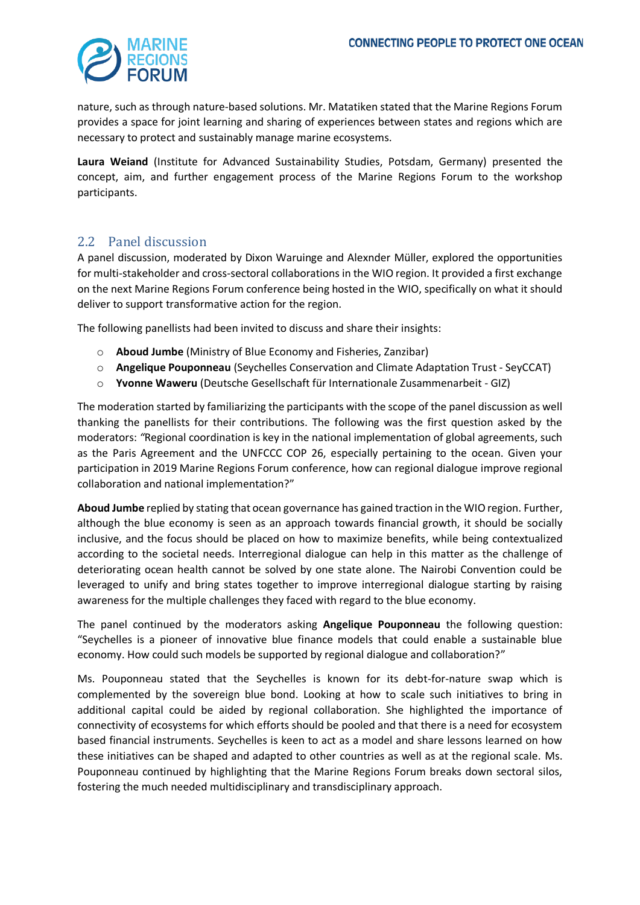

nature, such as through nature-based solutions. Mr. Matatiken stated that the Marine Regions Forum provides a space for joint learning and sharing of experiences between states and regions which are necessary to protect and sustainably manage marine ecosystems.

**Laura Weiand** (Institute for Advanced Sustainability Studies, Potsdam, Germany) presented the concept, aim, and further engagement process of the Marine Regions Forum to the workshop participants.

### <span id="page-2-0"></span>2.2 Panel discussion

A panel discussion, moderated by Dixon Waruinge and Alexnder Müller, explored the opportunities for multi-stakeholder and cross-sectoral collaborations in the WIO region. It provided a first exchange on the next Marine Regions Forum conference being hosted in the WIO, specifically on what it should deliver to support transformative action for the region.

The following panellists had been invited to discuss and share their insights:

- o **Aboud Jumbe** (Ministry of Blue Economy and Fisheries, Zanzibar)
- o **Angelique Pouponneau** (Seychelles Conservation and Climate Adaptation Trust SeyCCAT)
- o **Yvonne Waweru** (Deutsche Gesellschaft für Internationale Zusammenarbeit GIZ)

The moderation started by familiarizing the participants with the scope of the panel discussion as well thanking the panellists for their contributions. The following was the first question asked by the moderators: *"*Regional coordination is key in the national implementation of global agreements, such as the Paris Agreement and the UNFCCC COP 26, especially pertaining to the ocean. Given your participation in 2019 Marine Regions Forum conference, how can regional dialogue improve regional collaboration and national implementation?"

**Aboud Jumbe** replied by stating that ocean governance has gained traction in the WIO region. Further, although the blue economy is seen as an approach towards financial growth, it should be socially inclusive, and the focus should be placed on how to maximize benefits, while being contextualized according to the societal needs. Interregional dialogue can help in this matter as the challenge of deteriorating ocean health cannot be solved by one state alone. The Nairobi Convention could be leveraged to unify and bring states together to improve interregional dialogue starting by raising awareness for the multiple challenges they faced with regard to the blue economy.

The panel continued by the moderators asking **Angelique Pouponneau** the following question: "Seychelles is a pioneer of innovative blue finance models that could enable a sustainable blue economy. How could such models be supported by regional dialogue and collaboration?"

Ms. Pouponneau stated that the Seychelles is known for its debt-for-nature swap which is complemented by the sovereign blue bond. Looking at how to scale such initiatives to bring in additional capital could be aided by regional collaboration. She highlighted the importance of connectivity of ecosystems for which efforts should be pooled and that there is a need for ecosystem based financial instruments. Seychelles is keen to act as a model and share lessons learned on how these initiatives can be shaped and adapted to other countries as well as at the regional scale. Ms. Pouponneau continued by highlighting that the Marine Regions Forum breaks down sectoral silos, fostering the much needed multidisciplinary and transdisciplinary approach.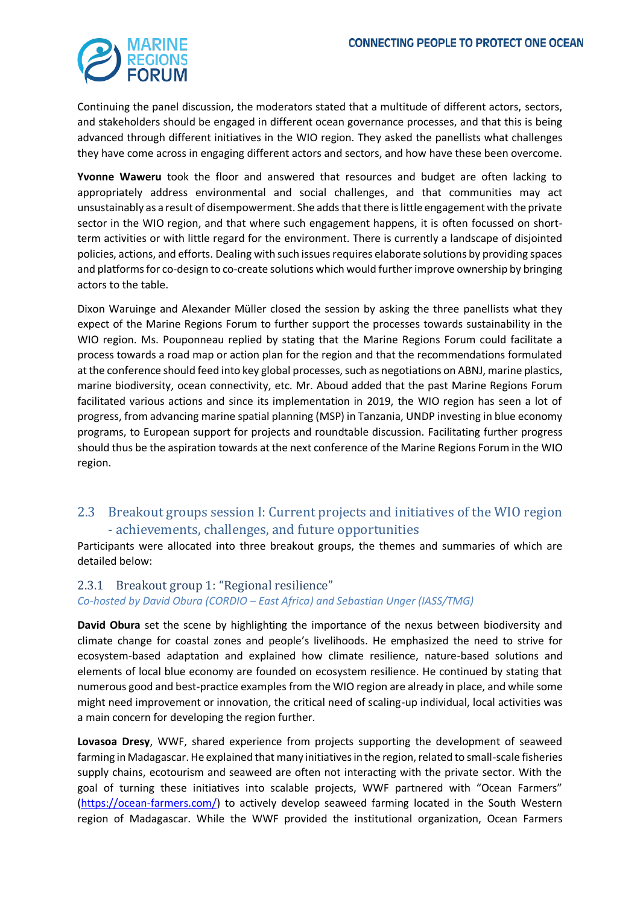

Continuing the panel discussion, the moderators stated that a multitude of different actors, sectors, and stakeholders should be engaged in different ocean governance processes, and that this is being advanced through different initiatives in the WIO region. They asked the panellists what challenges they have come across in engaging different actors and sectors, and how have these been overcome.

**Yvonne Waweru** took the floor and answered that resources and budget are often lacking to appropriately address environmental and social challenges, and that communities may act unsustainably as a result of disempowerment. She adds that there is little engagement with the private sector in the WIO region, and that where such engagement happens, it is often focussed on shortterm activities or with little regard for the environment. There is currently a landscape of disjointed policies, actions, and efforts. Dealing with such issues requires elaborate solutions by providing spaces and platforms for co-design to co-create solutions which would further improve ownership by bringing actors to the table.

Dixon Waruinge and Alexander Müller closed the session by asking the three panellists what they expect of the Marine Regions Forum to further support the processes towards sustainability in the WIO region. Ms. Pouponneau replied by stating that the Marine Regions Forum could facilitate a process towards a road map or action plan for the region and that the recommendations formulated at the conference should feed into key global processes, such as negotiations on ABNJ, marine plastics, marine biodiversity, ocean connectivity, etc. Mr. Aboud added that the past Marine Regions Forum facilitated various actions and since its implementation in 2019, the WIO region has seen a lot of progress, from advancing marine spatial planning (MSP) in Tanzania, UNDP investing in blue economy programs, to European support for projects and roundtable discussion. Facilitating further progress should thus be the aspiration towards at the next conference of the Marine Regions Forum in the WIO region.

### <span id="page-3-0"></span>2.3 Breakout groups session I: Current projects and initiatives of the WIO region - achievements, challenges, and future opportunities

Participants were allocated into three breakout groups, the themes and summaries of which are detailed below:

#### <span id="page-3-1"></span>2.3.1 Breakout group 1: "Regional resilience"

*Co-hosted by David Obura (CORDIO – East Africa) and Sebastian Unger (IASS/TMG)*

**David Obura** set the scene by highlighting the importance of the nexus between biodiversity and climate change for coastal zones and people's livelihoods. He emphasized the need to strive for ecosystem-based adaptation and explained how climate resilience, nature-based solutions and elements of local blue economy are founded on ecosystem resilience. He continued by stating that numerous good and best-practice examples from the WIO region are already in place, and while some might need improvement or innovation, the critical need of scaling-up individual, local activities was a main concern for developing the region further.

**Lovasoa Dresy**, WWF, shared experience from projects supporting the development of seaweed farming in Madagascar. He explained that many initiatives in the region, related to small-scale fisheries supply chains, ecotourism and seaweed are often not interacting with the private sector. With the goal of turning these initiatives into scalable projects, WWF partnered with "Ocean Farmers" [\(https://ocean-farmers.com/\)](https://ocean-farmers.com/) to actively develop seaweed farming located in the South Western region of Madagascar. While the WWF provided the institutional organization, Ocean Farmers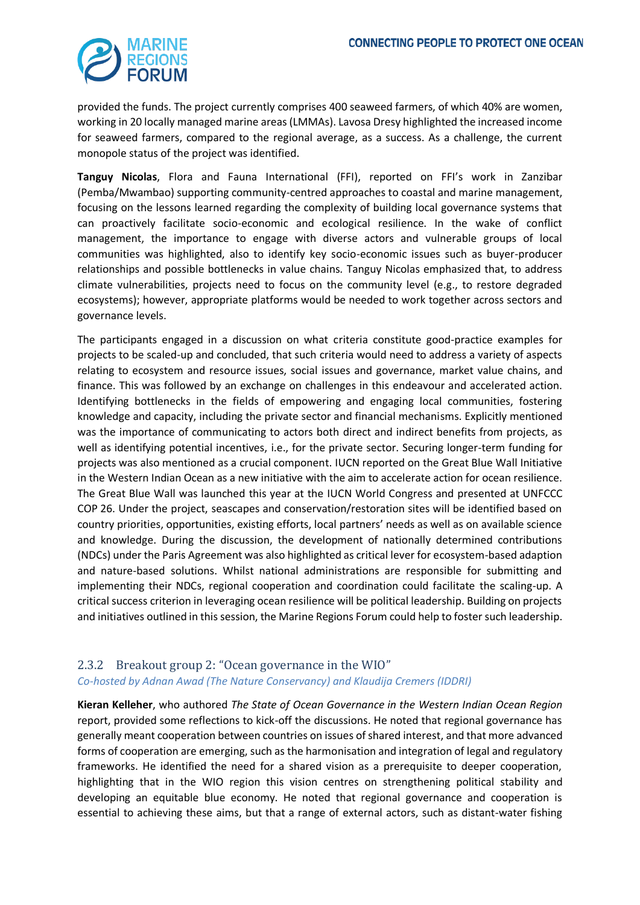

provided the funds. The project currently comprises 400 seaweed farmers, of which 40% are women, working in 20 locally managed marine areas (LMMAs). Lavosa Dresy highlighted the increased income for seaweed farmers, compared to the regional average, as a success. As a challenge, the current monopole status of the project was identified.

**Tanguy Nicolas**, Flora and Fauna International (FFI), reported on FFI's work in Zanzibar (Pemba/Mwambao) supporting community-centred approaches to coastal and marine management, focusing on the lessons learned regarding the complexity of building local governance systems that can proactively facilitate socio-economic and ecological resilience. In the wake of conflict management, the importance to engage with diverse actors and vulnerable groups of local communities was highlighted, also to identify key socio-economic issues such as buyer-producer relationships and possible bottlenecks in value chains. Tanguy Nicolas emphasized that, to address climate vulnerabilities, projects need to focus on the community level (e.g., to restore degraded ecosystems); however, appropriate platforms would be needed to work together across sectors and governance levels.

The participants engaged in a discussion on what criteria constitute good-practice examples for projects to be scaled-up and concluded, that such criteria would need to address a variety of aspects relating to ecosystem and resource issues, social issues and governance, market value chains, and finance. This was followed by an exchange on challenges in this endeavour and accelerated action. Identifying bottlenecks in the fields of empowering and engaging local communities, fostering knowledge and capacity, including the private sector and financial mechanisms. Explicitly mentioned was the importance of communicating to actors both direct and indirect benefits from projects, as well as identifying potential incentives, i.e., for the private sector. Securing longer-term funding for projects was also mentioned as a crucial component. IUCN reported on the Great Blue Wall Initiative in the Western Indian Ocean as a new initiative with the aim to accelerate action for ocean resilience. The Great Blue Wall was launched this year at the IUCN World Congress and presented at UNFCCC COP 26. Under the project, seascapes and conservation/restoration sites will be identified based on country priorities, opportunities, existing efforts, local partners' needs as well as on available science and knowledge. During the discussion, the development of nationally determined contributions (NDCs) under the Paris Agreement was also highlighted as critical lever for ecosystem-based adaption and nature-based solutions. Whilst national administrations are responsible for submitting and implementing their NDCs, regional cooperation and coordination could facilitate the scaling-up. A critical success criterion in leveraging ocean resilience will be political leadership. Building on projects and initiatives outlined in this session, the Marine Regions Forum could help to foster such leadership.

### <span id="page-4-0"></span>2.3.2 Breakout group 2: "Ocean governance in the WIO" *Co-hosted by Adnan Awad (The Nature Conservancy) and Klaudija Cremers (IDDRI)*

**Kieran Kelleher**, who authored *The State of Ocean Governance in the Western Indian Ocean Region* report, provided some reflections to kick-off the discussions. He noted that regional governance has generally meant cooperation between countries on issues of shared interest, and that more advanced forms of cooperation are emerging, such as the harmonisation and integration of legal and regulatory frameworks. He identified the need for a shared vision as a prerequisite to deeper cooperation, highlighting that in the WIO region this vision centres on strengthening political stability and developing an equitable blue economy. He noted that regional governance and cooperation is essential to achieving these aims, but that a range of external actors, such as distant-water fishing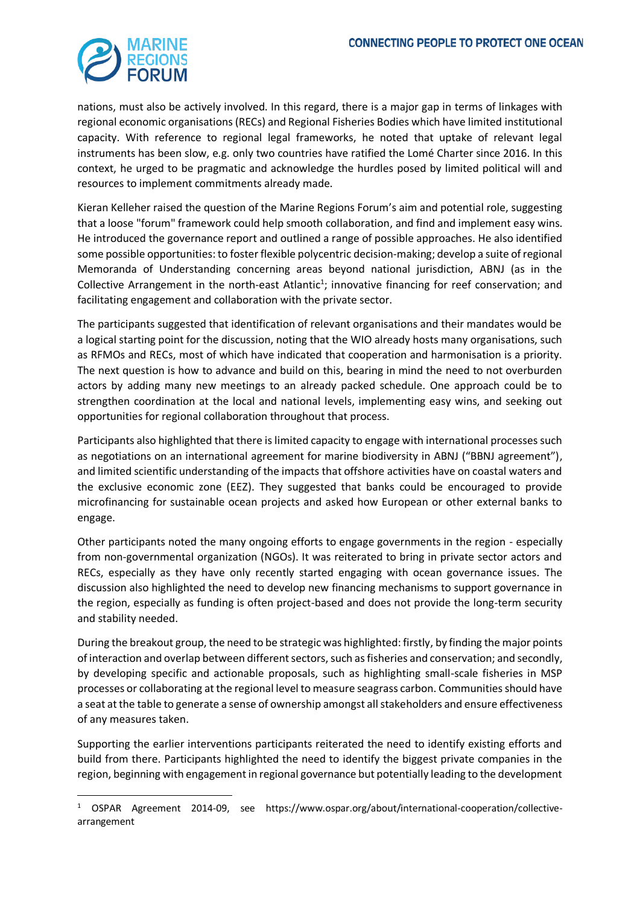

nations, must also be actively involved. In this regard, there is a major gap in terms of linkages with regional economic organisations (RECs) and Regional Fisheries Bodies which have limited institutional capacity. With reference to regional legal frameworks, he noted that uptake of relevant legal instruments has been slow, e.g. only two countries have ratified the Lomé Charter since 2016. In this context, he urged to be pragmatic and acknowledge the hurdles posed by limited political will and resources to implement commitments already made.

Kieran Kelleher raised the question of the Marine Regions Forum's aim and potential role, suggesting that a loose "forum" framework could help smooth collaboration, and find and implement easy wins. He introduced the governance report and outlined a range of possible approaches. He also identified some possible opportunities: to foster flexible polycentric decision-making; develop a suite of regional Memoranda of Understanding concerning areas beyond national jurisdiction, ABNJ (as in the Collective Arrangement in the north-east Atlantic<sup>1</sup>; innovative financing for reef conservation; and facilitating engagement and collaboration with the private sector.

The participants suggested that identification of relevant organisations and their mandates would be a logical starting point for the discussion, noting that the WIO already hosts many organisations, such as RFMOs and RECs, most of which have indicated that cooperation and harmonisation is a priority. The next question is how to advance and build on this, bearing in mind the need to not overburden actors by adding many new meetings to an already packed schedule. One approach could be to strengthen coordination at the local and national levels, implementing easy wins, and seeking out opportunities for regional collaboration throughout that process.

Participants also highlighted that there is limited capacity to engage with international processes such as negotiations on an international agreement for marine biodiversity in ABNJ ("BBNJ agreement"), and limited scientific understanding of the impacts that offshore activities have on coastal waters and the exclusive economic zone (EEZ). They suggested that banks could be encouraged to provide microfinancing for sustainable ocean projects and asked how European or other external banks to engage.

Other participants noted the many ongoing efforts to engage governments in the region - especially from non-governmental organization (NGOs). It was reiterated to bring in private sector actors and RECs, especially as they have only recently started engaging with ocean governance issues. The discussion also highlighted the need to develop new financing mechanisms to support governance in the region, especially as funding is often project-based and does not provide the long-term security and stability needed.

During the breakout group, the need to be strategic was highlighted: firstly, by finding the major points of interaction and overlap between different sectors, such as fisheries and conservation; and secondly, by developing specific and actionable proposals, such as highlighting small-scale fisheries in MSP processes or collaborating at the regional level to measure seagrass carbon. Communities should have a seat at the table to generate a sense of ownership amongst all stakeholders and ensure effectiveness of any measures taken.

Supporting the earlier interventions participants reiterated the need to identify existing efforts and build from there. Participants highlighted the need to identify the biggest private companies in the region, beginning with engagement in regional governance but potentially leading to the development

<sup>1</sup> OSPAR Agreement 2014-09, see https://www.ospar.org/about/international-cooperation/collectivearrangement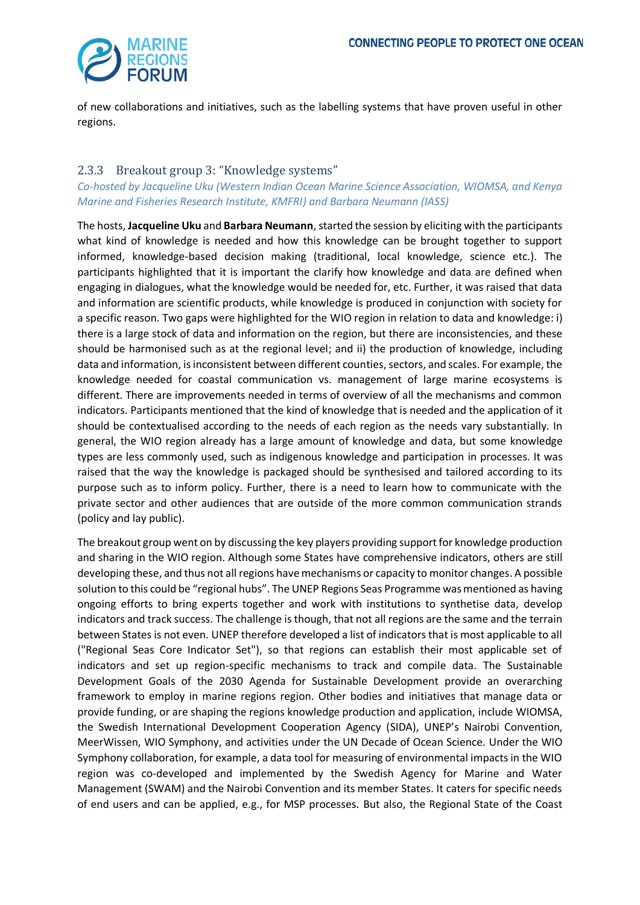

of new collaborations and initiatives, such as the labelling systems that have proven useful in other regions.

### <span id="page-6-0"></span>2.3.3 Breakout group 3: "Knowledge systems"

#### *Co-hosted by Jacqueline Uku (Western Indian Ocean Marine Science Association, WIOMSA, and Kenya Marine and Fisheries Research Institute, KMFRI) and Barbara Neumann (IASS)*

The hosts, **Jacqueline Uku** and **Barbara Neumann**,started the session by eliciting with the participants what kind of knowledge is needed and how this knowledge can be brought together to support informed, knowledge-based decision making (traditional, local knowledge, science etc.). The participants highlighted that it is important the clarify how knowledge and data are defined when engaging in dialogues, what the knowledge would be needed for, etc. Further, it was raised that data and information are scientific products, while knowledge is produced in conjunction with society for a specific reason. Two gaps were highlighted for the WIO region in relation to data and knowledge: i) there is a large stock of data and information on the region, but there are inconsistencies, and these should be harmonised such as at the regional level; and ii) the production of knowledge, including data and information, is inconsistent between different counties, sectors, and scales. For example, the knowledge needed for coastal communication vs. management of large marine ecosystems is different. There are improvements needed in terms of overview of all the mechanisms and common indicators. Participants mentioned that the kind of knowledge that is needed and the application of it should be contextualised according to the needs of each region as the needs vary substantially. In general, the WIO region already has a large amount of knowledge and data, but some knowledge types are less commonly used, such as indigenous knowledge and participation in processes. It was raised that the way the knowledge is packaged should be synthesised and tailored according to its purpose such as to inform policy. Further, there is a need to learn how to communicate with the private sector and other audiences that are outside of the more common communication strands (policy and lay public).

The breakout group went on by discussing the key players providing support for knowledge production and sharing in the WIO region. Although some States have comprehensive indicators, others are still developing these, and thus not all regions have mechanisms or capacity to monitor changes. A possible solution to this could be "regional hubs". The UNEP Regions Seas Programme was mentioned as having ongoing efforts to bring experts together and work with institutions to synthetise data, develop indicators and track success. The challenge is though, that not all regions are the same and the terrain between States is not even. UNEP therefore developed a list of indicators that is most applicable to all ("Regional Seas Core Indicator Set"), so that regions can establish their most applicable set of indicators and set up region-specific mechanisms to track and compile data. The Sustainable Development Goals of the 2030 Agenda for Sustainable Development provide an overarching framework to employ in marine regions region. Other bodies and initiatives that manage data or provide funding, or are shaping the regions knowledge production and application, include WIOMSA, the Swedish International Development Cooperation Agency (SIDA), UNEP's Nairobi Convention, MeerWissen, WIO Symphony, and activities under the UN Decade of Ocean Science. Under the WIO Symphony collaboration, for example, a data tool for measuring of environmental impacts in the WIO region was co-developed and implemented by the Swedish Agency for Marine and Water Management (SWAM) and the Nairobi Convention and its member States. It caters for specific needs of end users and can be applied, e.g., for MSP processes. But also, the Regional State of the Coast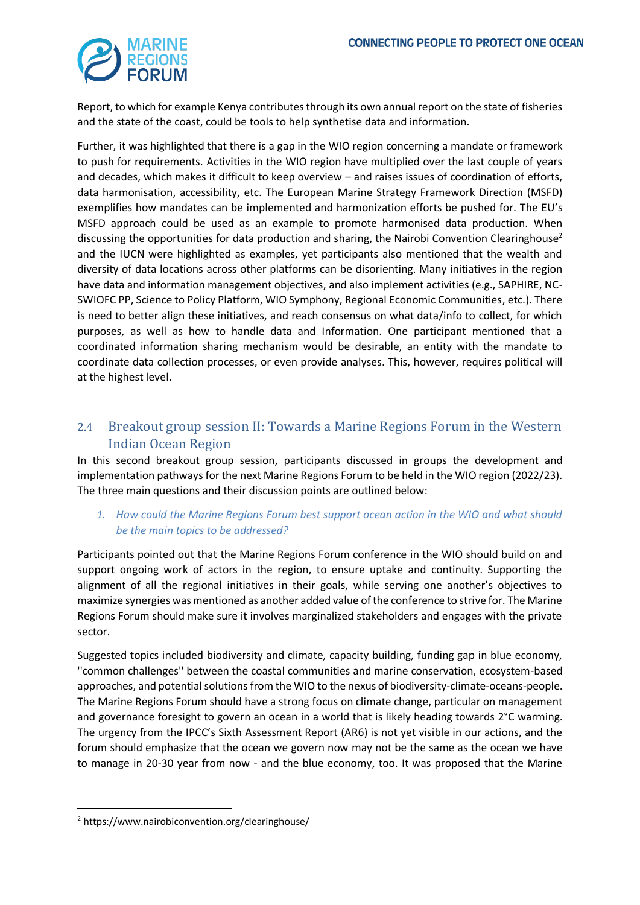

Report, to which for example Kenya contributes through its own annual report on the state of fisheries and the state of the coast, could be tools to help synthetise data and information.

Further, it was highlighted that there is a gap in the WIO region concerning a mandate or framework to push for requirements. Activities in the WIO region have multiplied over the last couple of years and decades, which makes it difficult to keep overview – and raises issues of coordination of efforts, data harmonisation, accessibility, etc. The European Marine Strategy Framework Direction (MSFD) exemplifies how mandates can be implemented and harmonization efforts be pushed for. The EU's MSFD approach could be used as an example to promote harmonised data production. When discussing the opportunities for data production and sharing, the Nairobi Convention Clearinghouse<sup>2</sup> and the IUCN were highlighted as examples, yet participants also mentioned that the wealth and diversity of data locations across other platforms can be disorienting. Many initiatives in the region have data and information management objectives, and also implement activities (e.g., SAPHIRE, NC-SWIOFC PP, Science to Policy Platform, WIO Symphony, Regional Economic Communities, etc.). There is need to better align these initiatives, and reach consensus on what data/info to collect, for which purposes, as well as how to handle data and Information. One participant mentioned that a coordinated information sharing mechanism would be desirable, an entity with the mandate to coordinate data collection processes, or even provide analyses. This, however, requires political will at the highest level.

## <span id="page-7-0"></span>2.4 Breakout group session II: Towards a Marine Regions Forum in the Western Indian Ocean Region

In this second breakout group session, participants discussed in groups the development and implementation pathways for the next Marine Regions Forum to be held in the WIO region (2022/23). The three main questions and their discussion points are outlined below:

#### *1. How could the Marine Regions Forum best support ocean action in the WIO and what should be the main topics to be addressed?*

Participants pointed out that the Marine Regions Forum conference in the WIO should build on and support ongoing work of actors in the region, to ensure uptake and continuity. Supporting the alignment of all the regional initiatives in their goals, while serving one another's objectives to maximize synergies was mentioned as another added value of the conference to strive for. The Marine Regions Forum should make sure it involves marginalized stakeholders and engages with the private sector.

Suggested topics included biodiversity and climate, capacity building, funding gap in blue economy, ''common challenges'' between the coastal communities and marine conservation, ecosystem-based approaches, and potential solutions from the WIO to the nexus of biodiversity-climate-oceans-people. The Marine Regions Forum should have a strong focus on climate change, particular on management and governance foresight to govern an ocean in a world that is likely heading towards 2°C warming. The urgency from the IPCC's Sixth Assessment Report (AR6) is not yet visible in our actions, and the forum should emphasize that the ocean we govern now may not be the same as the ocean we have to manage in 20-30 year from now - and the blue economy, too. It was proposed that the Marine

<sup>2</sup> https://www.nairobiconvention.org/clearinghouse/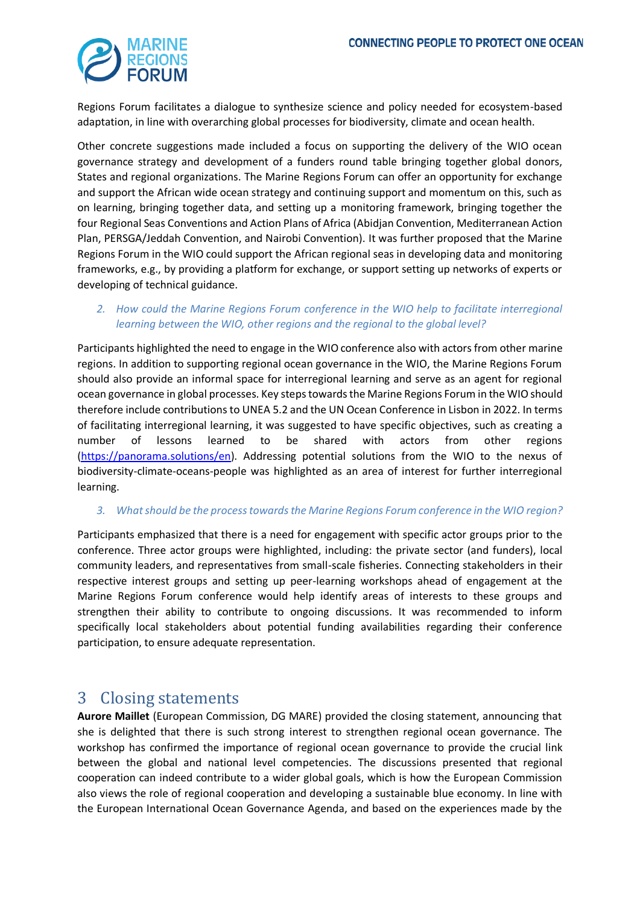

Regions Forum facilitates a dialogue to synthesize science and policy needed for ecosystem-based adaptation, in line with overarching global processes for biodiversity, climate and ocean health.

Other concrete suggestions made included a focus on supporting the delivery of the WIO ocean governance strategy and development of a funders round table bringing together global donors, States and regional organizations. The Marine Regions Forum can offer an opportunity for exchange and support the African wide ocean strategy and continuing support and momentum on this, such as on learning, bringing together data, and setting up a monitoring framework, bringing together the four Regional Seas Conventions and Action Plans of Africa (Abidjan Convention, Mediterranean Action Plan, PERSGA/Jeddah Convention, and Nairobi Convention). It was further proposed that the Marine Regions Forum in the WIO could support the African regional seas in developing data and monitoring frameworks, e.g., by providing a platform for exchange, or support setting up networks of experts or developing of technical guidance.

#### *2. How could the Marine Regions Forum conference in the WIO help to facilitate interregional learning between the WIO, other regions and the regional to the global level?*

Participants highlighted the need to engage in the WIO conference also with actors from other marine regions. In addition to supporting regional ocean governance in the WIO, the Marine Regions Forum should also provide an informal space for interregional learning and serve as an agent for regional ocean governance in global processes. Key steps towards the Marine Regions Forum in the WIO should therefore include contributions to UNEA 5.2 and the UN Ocean Conference in Lisbon in 2022. In terms of facilitating interregional learning, it was suggested to have specific objectives, such as creating a number of lessons learned to be shared with actors from other regions [\(https://panorama.solutions/en\)](https://panorama.solutions/en). Addressing potential solutions from the WIO to the nexus of biodiversity-climate-oceans-people was highlighted as an area of interest for further interregional learning.

#### *3. What should be the processtowards the Marine Regions Forum conference in the WIO region?*

Participants emphasized that there is a need for engagement with specific actor groups prior to the conference. Three actor groups were highlighted, including: the private sector (and funders), local community leaders, and representatives from small-scale fisheries. Connecting stakeholders in their respective interest groups and setting up peer-learning workshops ahead of engagement at the Marine Regions Forum conference would help identify areas of interests to these groups and strengthen their ability to contribute to ongoing discussions. It was recommended to inform specifically local stakeholders about potential funding availabilities regarding their conference participation, to ensure adequate representation.

## <span id="page-8-0"></span>3 Closing statements

**Aurore Maillet** (European Commission, DG MARE) provided the closing statement, announcing that she is delighted that there is such strong interest to strengthen regional ocean governance. The workshop has confirmed the importance of regional ocean governance to provide the crucial link between the global and national level competencies. The discussions presented that regional cooperation can indeed contribute to a wider global goals, which is how the European Commission also views the role of regional cooperation and developing a sustainable blue economy. In line with the European International Ocean Governance Agenda, and based on the experiences made by the